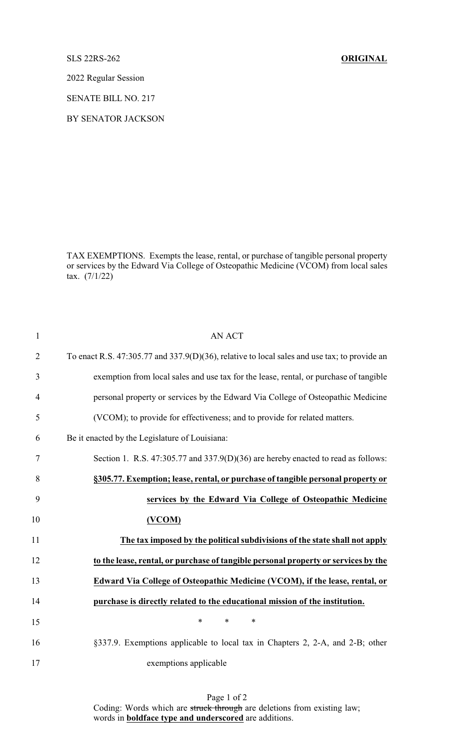SLS 22RS-262 **ORIGINAL**

2022 Regular Session

SENATE BILL NO. 217

BY SENATOR JACKSON

TAX EXEMPTIONS. Exempts the lease, rental, or purchase of tangible personal property or services by the Edward Via College of Osteopathic Medicine (VCOM) from local sales tax. (7/1/22)

| $\mathbf{1}$   | <b>AN ACT</b>                                                                                |
|----------------|----------------------------------------------------------------------------------------------|
| $\overline{2}$ | To enact R.S. 47:305.77 and 337.9(D)(36), relative to local sales and use tax; to provide an |
| 3              | exemption from local sales and use tax for the lease, rental, or purchase of tangible        |
| $\overline{4}$ | personal property or services by the Edward Via College of Osteopathic Medicine              |
| 5              | (VCOM); to provide for effectiveness; and to provide for related matters.                    |
| 6              | Be it enacted by the Legislature of Louisiana:                                               |
| 7              | Section 1. R.S. 47:305.77 and 337.9(D)(36) are hereby enacted to read as follows:            |
| 8              | §305.77. Exemption; lease, rental, or purchase of tangible personal property or              |
| 9              | services by the Edward Via College of Osteopathic Medicine                                   |
| 10             | (VCOM)                                                                                       |
| 11             | The tax imposed by the political subdivisions of the state shall not apply                   |
| 12             | to the lease, rental, or purchase of tangible personal property or services by the           |
| 13             | Edward Via College of Osteopathic Medicine (VCOM), if the lease, rental, or                  |
| 14             | purchase is directly related to the educational mission of the institution.                  |
| 15             | *<br>$\ast$<br>$\ast$                                                                        |
| 16             | §337.9. Exemptions applicable to local tax in Chapters 2, 2-A, and 2-B; other                |
| 17             | exemptions applicable                                                                        |

Page 1 of 2 Coding: Words which are struck through are deletions from existing law; words in **boldface type and underscored** are additions.